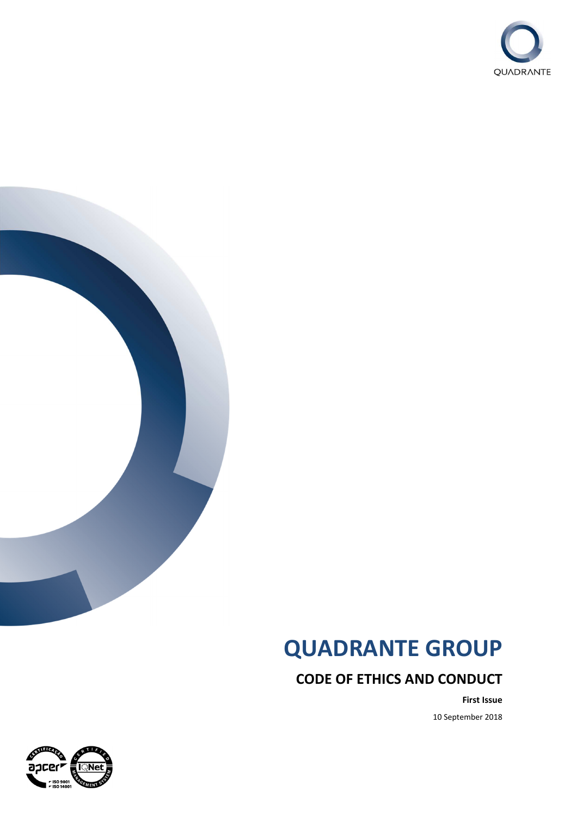



# **QUADRANTE GROUP**

**CODE OF ETHICS AND CONDUCT**

**First Issue** 10 September 2018

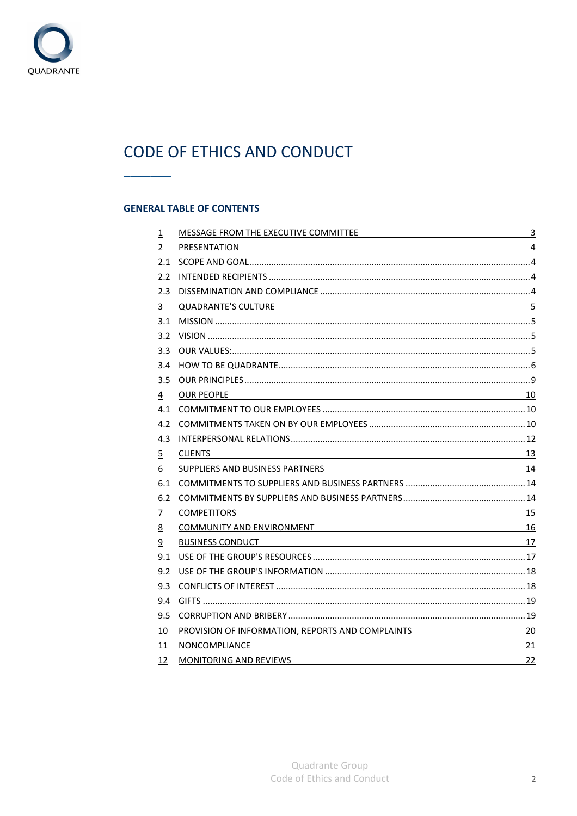

# CODE OF ETHICS AND CONDUCT

# **GENERAL TABLE OF CONTENTS**

 $\frac{1}{2}$ 

| $\overline{1}$ | MESSAGE FROM THE EXECUTIVE COMMITTEE <b>AND INTERNATIONAL SET AND INCOMMUNITY 3</b>                                                                                                                                                 |    |
|----------------|-------------------------------------------------------------------------------------------------------------------------------------------------------------------------------------------------------------------------------------|----|
| $\overline{2}$ | PRESENTATION 4                                                                                                                                                                                                                      |    |
| 2.1            |                                                                                                                                                                                                                                     |    |
| $2.2^{\circ}$  |                                                                                                                                                                                                                                     |    |
| 2.3            |                                                                                                                                                                                                                                     |    |
| 3              | QUADRANTE'S CULTURE 5                                                                                                                                                                                                               |    |
| 3.1            |                                                                                                                                                                                                                                     |    |
| $3.2^{\circ}$  |                                                                                                                                                                                                                                     |    |
| 3.3            |                                                                                                                                                                                                                                     |    |
| 3.4            |                                                                                                                                                                                                                                     |    |
| 3.5            |                                                                                                                                                                                                                                     |    |
| $\frac{4}{1}$  | $\overline{10}$<br><b>OUR PEOPLE</b>                                                                                                                                                                                                |    |
|                |                                                                                                                                                                                                                                     |    |
|                |                                                                                                                                                                                                                                     |    |
| 4.3            |                                                                                                                                                                                                                                     |    |
| $\overline{5}$ | $\sim$ 13<br><b>CLIENTS</b>                                                                                                                                                                                                         |    |
| 6              | SUPPLIERS AND BUSINESS PARTNERS NATIONAL RESEARCH AND THE SUPPLIERS AND RESEARCH AND THE SUPPLIERS AND THE SUPPLIERS                                                                                                                |    |
| 6.1            |                                                                                                                                                                                                                                     |    |
| 6.2            |                                                                                                                                                                                                                                     |    |
| $\overline{1}$ | <b>COMPETITORS</b>                                                                                                                                                                                                                  |    |
| 8              | <u>COMMUNITY AND ENVIRONMENT</u> 2008 2009 2012 2022 2023 2024 2024 2022 2023 2024 2022 2023 2024 2022 2023 2024 2022 2023 2024 2022 2023 2024 2022 2023 2024 2023 2024 2022 2023 2024 2022 2023 2024 2023 2024 2023 2024 2023 2024 |    |
| 9              | <b>BUSINESS CONDUCT</b>                                                                                                                                                                                                             |    |
| 9.1            |                                                                                                                                                                                                                                     |    |
| 9.2            |                                                                                                                                                                                                                                     |    |
| 9.3            |                                                                                                                                                                                                                                     |    |
| 9.4            |                                                                                                                                                                                                                                     |    |
| 9.5            |                                                                                                                                                                                                                                     |    |
| 10             | PROVISION OF INFORMATION, REPORTS AND COMPLAINTS 20                                                                                                                                                                                 |    |
| 11             | NONCOMPLIANCE                                                                                                                                                                                                                       | 21 |
| 12             | <b>MONITORING AND REVIEWS</b>                                                                                                                                                                                                       | 22 |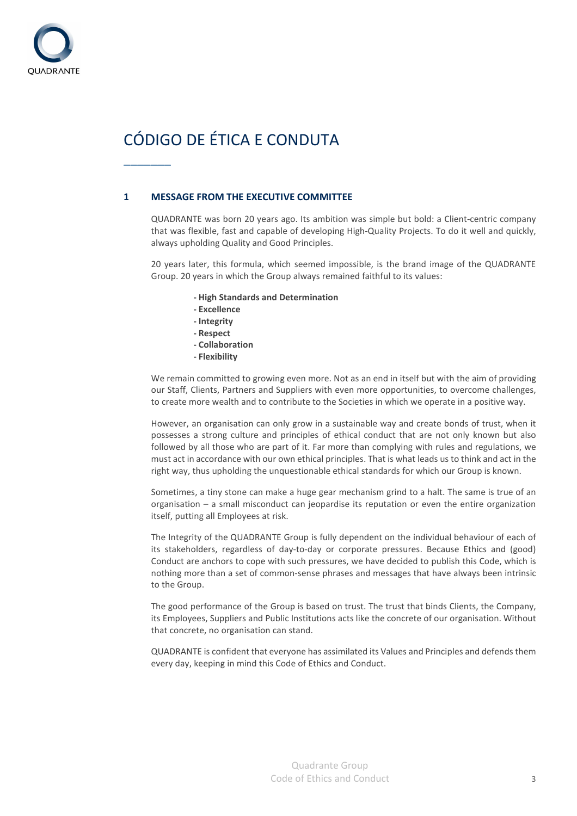

# CÓDIGO DE ÉTICA E CONDUTA

 $\frac{1}{2}$ 

# **1 MESSAGE FROM THE EXECUTIVE COMMITTEE**

QUADRANTE was born 20 years ago. Its ambition was simple but bold: a Client-centric company that was flexible, fast and capable of developing High-Quality Projects. To do it well and quickly, always upholding Quality and Good Principles.

20 years later, this formula, which seemed impossible, is the brand image of the QUADRANTE Group. 20 years in which the Group always remained faithful to its values:

- **High Standards and Determination**
- **Excellence**
- **Integrity**
- **Respect**
- **Collaboration**
- **Flexibility**

We remain committed to growing even more. Not as an end in itself but with the aim of providing our Staff, Clients, Partners and Suppliers with even more opportunities, to overcome challenges, to create more wealth and to contribute to the Societies in which we operate in a positive way.

However, an organisation can only grow in a sustainable way and create bonds of trust, when it possesses a strong culture and principles of ethical conduct that are not only known but also followed by all those who are part of it. Far more than complying with rules and regulations, we must act in accordance with our own ethical principles. That is what leads us to think and act in the right way, thus upholding the unquestionable ethical standards for which our Group is known.

Sometimes, a tiny stone can make a huge gear mechanism grind to a halt. The same is true of an organisation – a small misconduct can jeopardise its reputation or even the entire organization itself, putting all Employees at risk.

The Integrity of the QUADRANTE Group is fully dependent on the individual behaviour of each of its stakeholders, regardless of day-to-day or corporate pressures. Because Ethics and (good) Conduct are anchors to cope with such pressures, we have decided to publish this Code, which is nothing more than a set of common-sense phrases and messages that have always been intrinsic to the Group.

The good performance of the Group is based on trust. The trust that binds Clients, the Company, its Employees, Suppliers and Public Institutions acts like the concrete of our organisation. Without that concrete, no organisation can stand.

QUADRANTE is confident that everyone has assimilated its Values and Principles and defends them every day, keeping in mind this Code of Ethics and Conduct.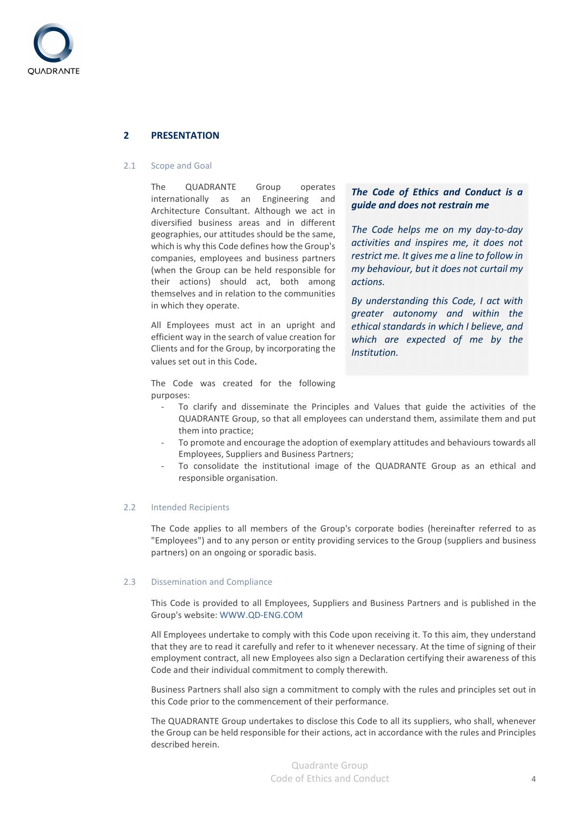

# **2 PRESENTATION**

#### 2.1 Scope and Goal

The QUADRANTE Group operates internationally as an Engineering and Architecture Consultant. Although we act in diversified business areas and in different geographies, our attitudes should be the same, which is why this Code defines how the Group's companies, employees and business partners (when the Group can be held responsible for their actions) should act, both among themselves and in relation to the communities in which they operate.

All Employees must act in an upright and efficient way in the search of value creation for Clients and for the Group, by incorporating the values set out in this Code.

The Code was created for the following

# *The Code of Ethics and Conduct is a guide and does not restrain me*

*The Code helps me on my day-to-day activities and inspires me, it does not restrict me. It gives me a line to follow in my behaviour, but it does not curtail my actions.* 

*By understanding this Code, I act with greater autonomy and within the ethical standards in which I believe, and which are expected of me by the Institution.* 

- purposes: To clarify and disseminate the Principles and Values that guide the activities of the QUADRANTE Group, so that all employees can understand them, assimilate them and put them into practice;
	- To promote and encourage the adoption of exemplary attitudes and behaviours towards all Employees, Suppliers and Business Partners;
	- To consolidate the institutional image of the QUADRANTE Group as an ethical and responsible organisation.

#### 2.2 Intended Recipients

The Code applies to all members of the Group's corporate bodies (hereinafter referred to as "Employees") and to any person or entity providing services to the Group (suppliers and business partners) on an ongoing or sporadic basis.

#### 2.3 Dissemination and Compliance

This Code is provided to all Employees, Suppliers and Business Partners and is published in the Group's website: WWW.QD-ENG.COM

All Employees undertake to comply with this Code upon receiving it. To this aim, they understand that they are to read it carefully and refer to it whenever necessary. At the time of signing of their employment contract, all new Employees also sign a Declaration certifying their awareness of this Code and their individual commitment to comply therewith.

Business Partners shall also sign a commitment to comply with the rules and principles set out in this Code prior to the commencement of their performance.

The QUADRANTE Group undertakes to disclose this Code to all its suppliers, who shall, whenever the Group can be held responsible for their actions, act in accordance with the rules and Principles described herein.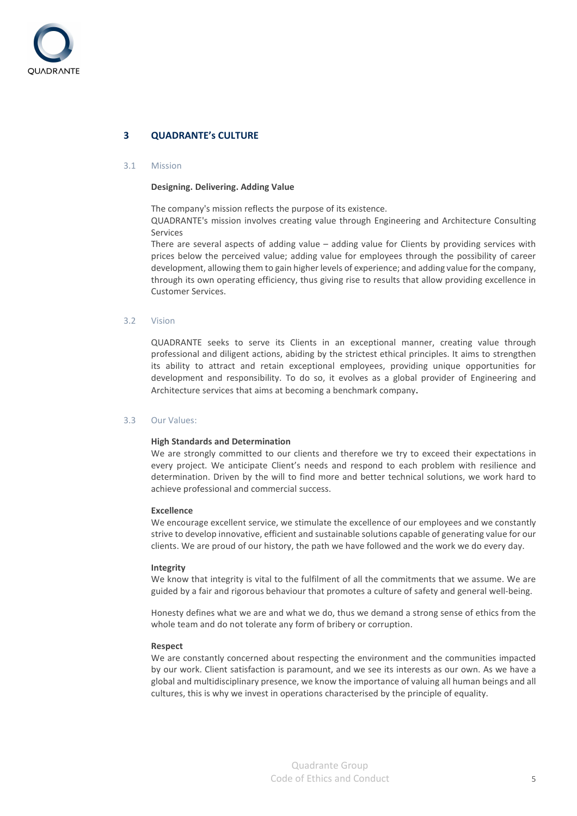

# **3 QUADRANTE's CULTURE**

#### 3.1 Mission

#### **Designing. Delivering. Adding Value**

The company's mission reflects the purpose of its existence.

QUADRANTE's mission involves creating value through Engineering and Architecture Consulting Services

There are several aspects of adding value – adding value for Clients by providing services with prices below the perceived value; adding value for employees through the possibility of career development, allowing them to gain higher levels of experience; and adding value for the company, through its own operating efficiency, thus giving rise to results that allow providing excellence in Customer Services.

#### 3.2 Vision

QUADRANTE seeks to serve its Clients in an exceptional manner, creating value through professional and diligent actions, abiding by the strictest ethical principles. It aims to strengthen its ability to attract and retain exceptional employees, providing unique opportunities for development and responsibility. To do so, it evolves as a global provider of Engineering and Architecture services that aims at becoming a benchmark company.

#### 3.3 Our Values:

#### **High Standards and Determination**

We are strongly committed to our clients and therefore we try to exceed their expectations in every project. We anticipate Client's needs and respond to each problem with resilience and determination. Driven by the will to find more and better technical solutions, we work hard to achieve professional and commercial success.

#### **Excellence**

We encourage excellent service, we stimulate the excellence of our employees and we constantly strive to develop innovative, efficient and sustainable solutions capable of generating value for our clients. We are proud of our history, the path we have followed and the work we do every day.

#### **Integrity**

We know that integrity is vital to the fulfilment of all the commitments that we assume. We are guided by a fair and rigorous behaviour that promotes a culture of safety and general well-being.

Honesty defines what we are and what we do, thus we demand a strong sense of ethics from the whole team and do not tolerate any form of bribery or corruption.

#### **Respect**

We are constantly concerned about respecting the environment and the communities impacted by our work. Client satisfaction is paramount, and we see its interests as our own. As we have a global and multidisciplinary presence, we know the importance of valuing all human beings and all cultures, this is why we invest in operations characterised by the principle of equality.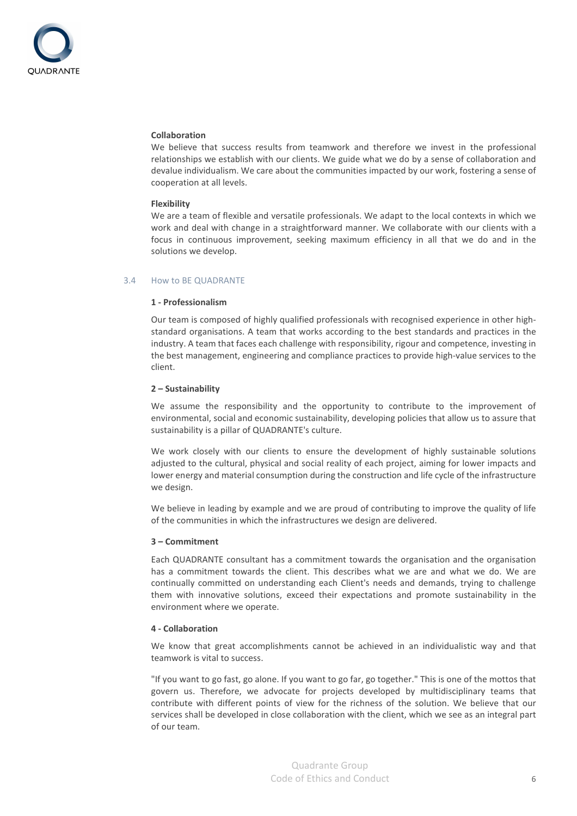

#### **Collaboration**

We believe that success results from teamwork and therefore we invest in the professional relationships we establish with our clients. We guide what we do by a sense of collaboration and devalue individualism. We care about the communities impacted by our work, fostering a sense of cooperation at all levels.

#### **Flexibility**

We are a team of flexible and versatile professionals. We adapt to the local contexts in which we work and deal with change in a straightforward manner. We collaborate with our clients with a focus in continuous improvement, seeking maximum efficiency in all that we do and in the solutions we develop.

#### 3.4 How to BE QUADRANTE

#### **1 - Professionalism**

Our team is composed of highly qualified professionals with recognised experience in other highstandard organisations. A team that works according to the best standards and practices in the industry. A team that faces each challenge with responsibility, rigour and competence, investing in the best management, engineering and compliance practices to provide high-value services to the client.

#### **2 – Sustainability**

We assume the responsibility and the opportunity to contribute to the improvement of environmental, social and economic sustainability, developing policies that allow us to assure that sustainability is a pillar of QUADRANTE's culture.

We work closely with our clients to ensure the development of highly sustainable solutions adjusted to the cultural, physical and social reality of each project, aiming for lower impacts and lower energy and material consumption during the construction and life cycle of the infrastructure we design.

We believe in leading by example and we are proud of contributing to improve the quality of life of the communities in which the infrastructures we design are delivered.

#### **3 – Commitment**

Each QUADRANTE consultant has a commitment towards the organisation and the organisation has a commitment towards the client. This describes what we are and what we do. We are continually committed on understanding each Client's needs and demands, trying to challenge them with innovative solutions, exceed their expectations and promote sustainability in the environment where we operate.

#### **4 - Collaboration**

We know that great accomplishments cannot be achieved in an individualistic way and that teamwork is vital to success.

"If you want to go fast, go alone. If you want to go far, go together." This is one of the mottos that govern us. Therefore, we advocate for projects developed by multidisciplinary teams that contribute with different points of view for the richness of the solution. We believe that our services shall be developed in close collaboration with the client, which we see as an integral part of our team.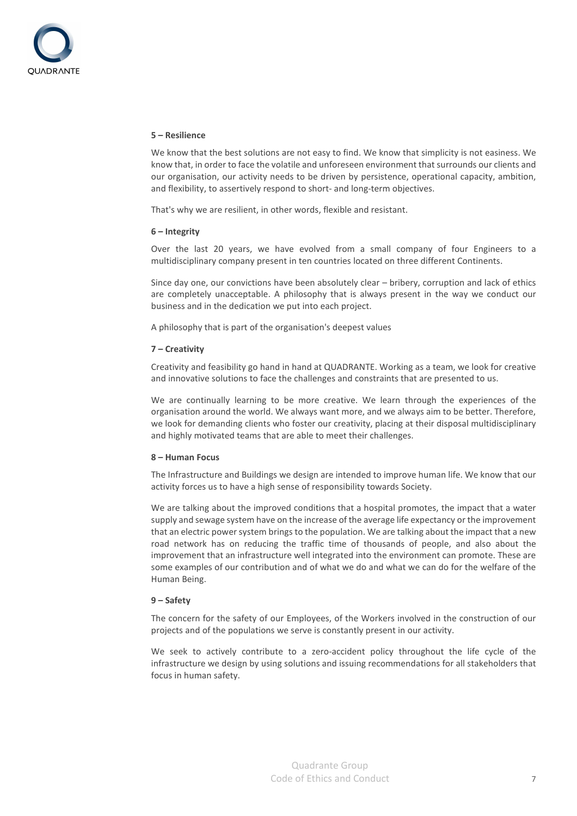#### **5 – Resilience**

We know that the best solutions are not easy to find. We know that simplicity is not easiness. We know that, in order to face the volatile and unforeseen environment that surrounds our clients and our organisation, our activity needs to be driven by persistence, operational capacity, ambition, and flexibility, to assertively respond to short- and long-term objectives.

That's why we are resilient, in other words, flexible and resistant.

#### **6 – Integrity**

Over the last 20 years, we have evolved from a small company of four Engineers to a multidisciplinary company present in ten countries located on three different Continents.

Since day one, our convictions have been absolutely clear – bribery, corruption and lack of ethics are completely unacceptable. A philosophy that is always present in the way we conduct our business and in the dedication we put into each project.

A philosophy that is part of the organisation's deepest values

#### **7 – Creativity**

Creativity and feasibility go hand in hand at QUADRANTE. Working as a team, we look for creative and innovative solutions to face the challenges and constraints that are presented to us.

We are continually learning to be more creative. We learn through the experiences of the organisation around the world. We always want more, and we always aim to be better. Therefore, we look for demanding clients who foster our creativity, placing at their disposal multidisciplinary and highly motivated teams that are able to meet their challenges.

#### **8 – Human Focus**

The Infrastructure and Buildings we design are intended to improve human life. We know that our activity forces us to have a high sense of responsibility towards Society.

We are talking about the improved conditions that a hospital promotes, the impact that a water supply and sewage system have on the increase of the average life expectancy or the improvement that an electric power system brings to the population. We are talking about the impact that a new road network has on reducing the traffic time of thousands of people, and also about the improvement that an infrastructure well integrated into the environment can promote. These are some examples of our contribution and of what we do and what we can do for the welfare of the Human Being.

#### **9 – Safety**

The concern for the safety of our Employees, of the Workers involved in the construction of our projects and of the populations we serve is constantly present in our activity.

We seek to actively contribute to a zero-accident policy throughout the life cycle of the infrastructure we design by using solutions and issuing recommendations for all stakeholders that focus in human safety.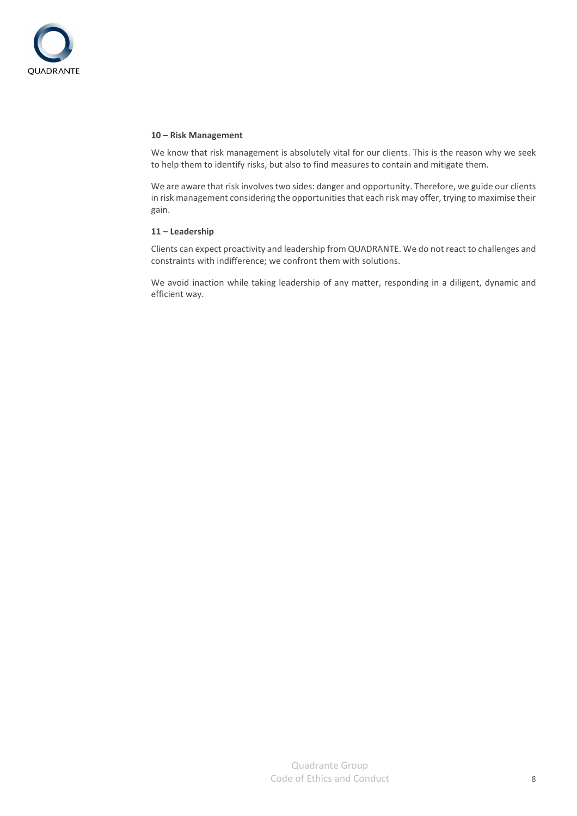

#### **10 – Risk Management**

We know that risk management is absolutely vital for our clients. This is the reason why we seek to help them to identify risks, but also to find measures to contain and mitigate them.

We are aware that risk involves two sides: danger and opportunity. Therefore, we guide our clients in risk management considering the opportunities that each risk may offer, trying to maximise their gain.

#### **11 – Leadership**

Clients can expect proactivity and leadership from QUADRANTE. We do not react to challenges and constraints with indifference; we confront them with solutions.

We avoid inaction while taking leadership of any matter, responding in a diligent, dynamic and efficient way.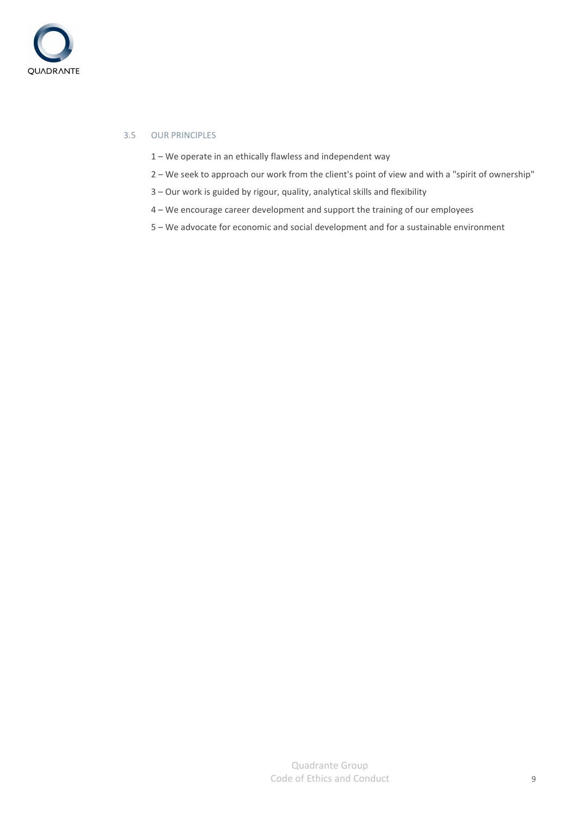

# 3.5 OUR PRINCIPLES

- 1 We operate in an ethically flawless and independent way
- 2 We seek to approach our work from the client's point of view and with a "spirit of ownership"
- 3 Our work is guided by rigour, quality, analytical skills and flexibility
- 4 We encourage career development and support the training of our employees
- 5 We advocate for economic and social development and for a sustainable environment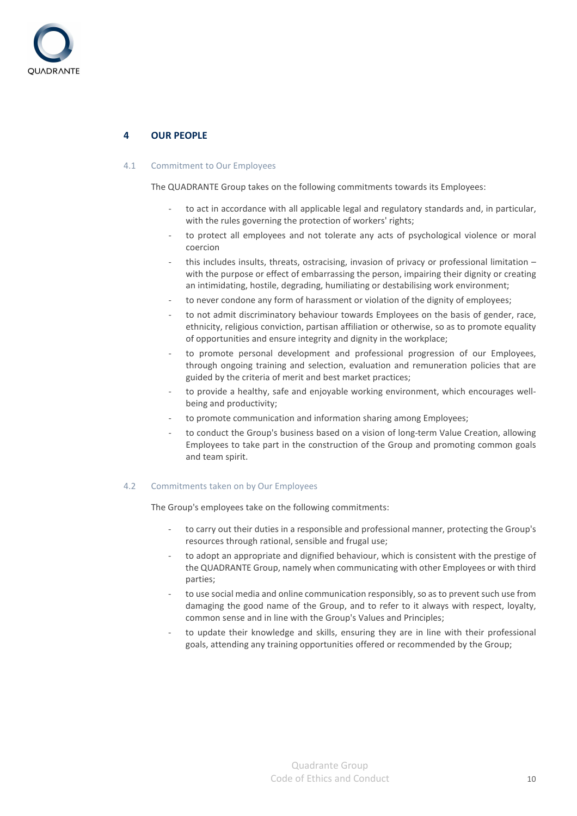

# **4 OUR PEOPLE**

#### 4.1 Commitment to Our Employees

The QUADRANTE Group takes on the following commitments towards its Employees:

- to act in accordance with all applicable legal and regulatory standards and, in particular, with the rules governing the protection of workers' rights;
- to protect all employees and not tolerate any acts of psychological violence or moral coercion
- this includes insults, threats, ostracising, invasion of privacy or professional limitation with the purpose or effect of embarrassing the person, impairing their dignity or creating an intimidating, hostile, degrading, humiliating or destabilising work environment;
- to never condone any form of harassment or violation of the dignity of employees;
- to not admit discriminatory behaviour towards Employees on the basis of gender, race, ethnicity, religious conviction, partisan affiliation or otherwise, so as to promote equality of opportunities and ensure integrity and dignity in the workplace;
- to promote personal development and professional progression of our Employees, through ongoing training and selection, evaluation and remuneration policies that are guided by the criteria of merit and best market practices;
- to provide a healthy, safe and enjoyable working environment, which encourages wellbeing and productivity;
- to promote communication and information sharing among Employees;
- to conduct the Group's business based on a vision of long-term Value Creation, allowing Employees to take part in the construction of the Group and promoting common goals and team spirit.

#### 4.2 Commitments taken on by Our Employees

The Group's employees take on the following commitments:

- to carry out their duties in a responsible and professional manner, protecting the Group's resources through rational, sensible and frugal use;
- to adopt an appropriate and dignified behaviour, which is consistent with the prestige of the QUADRANTE Group, namely when communicating with other Employees or with third parties;
- to use social media and online communication responsibly, so as to prevent such use from damaging the good name of the Group, and to refer to it always with respect, loyalty, common sense and in line with the Group's Values and Principles;
- to update their knowledge and skills, ensuring they are in line with their professional goals, attending any training opportunities offered or recommended by the Group;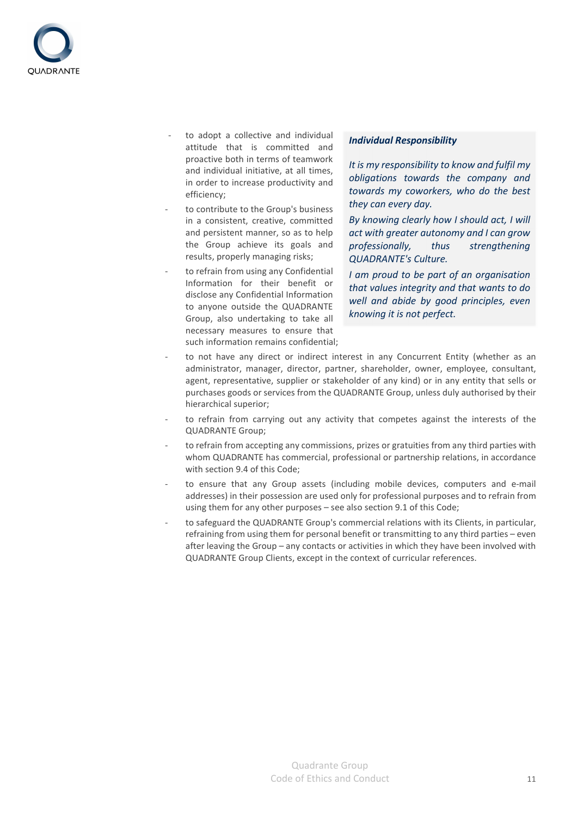

- to adopt a collective and individual attitude that is committed and proactive both in terms of teamwork and individual initiative, at all times, in order to increase productivity and efficiency;
- to contribute to the Group's business in a consistent, creative, committed and persistent manner, so as to help the Group achieve its goals and results, properly managing risks;
- to refrain from using any Confidential Information for their benefit or disclose any Confidential Information to anyone outside the QUADRANTE Group, also undertaking to take all necessary measures to ensure that such information remains confidential;

#### *Individual Responsibility*

*It is my responsibility to know and fulfil my obligations towards the company and towards my coworkers, who do the best they can every day.* 

*By knowing clearly how I should act, I will act with greater autonomy and I can grow professionally, thus strengthening QUADRANTE's Culture.* 

*I am proud to be part of an organisation that values integrity and that wants to do well and abide by good principles, even knowing it is not perfect.* 

- to not have any direct or indirect interest in any Concurrent Entity (whether as an administrator, manager, director, partner, shareholder, owner, employee, consultant, agent, representative, supplier or stakeholder of any kind) or in any entity that sells or purchases goods or services from the QUADRANTE Group, unless duly authorised by their hierarchical superior;
- to refrain from carrying out any activity that competes against the interests of the QUADRANTE Group;
- to refrain from accepting any commissions, prizes or gratuities from any third parties with whom QUADRANTE has commercial, professional or partnership relations, in accordance with section 9.4 of this Code;
- to ensure that any Group assets (including mobile devices, computers and e-mail addresses) in their possession are used only for professional purposes and to refrain from using them for any other purposes – see also section 9.1 of this Code;
- to safeguard the QUADRANTE Group's commercial relations with its Clients, in particular, refraining from using them for personal benefit or transmitting to any third parties – even after leaving the Group – any contacts or activities in which they have been involved with QUADRANTE Group Clients, except in the context of curricular references.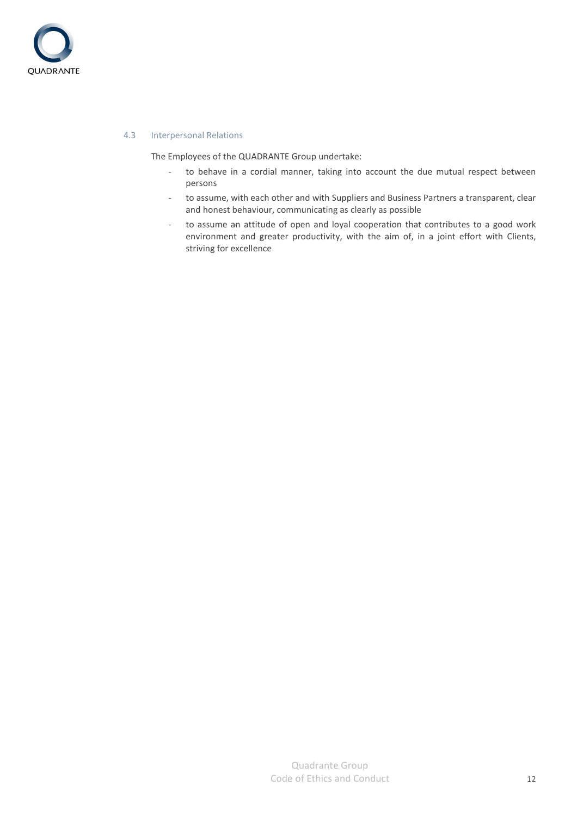

#### 4.3 Interpersonal Relations

The Employees of the QUADRANTE Group undertake:

- to behave in a cordial manner, taking into account the due mutual respect between persons
- to assume, with each other and with Suppliers and Business Partners a transparent, clear and honest behaviour, communicating as clearly as possible
- to assume an attitude of open and loyal cooperation that contributes to a good work environment and greater productivity, with the aim of, in a joint effort with Clients, striving for excellence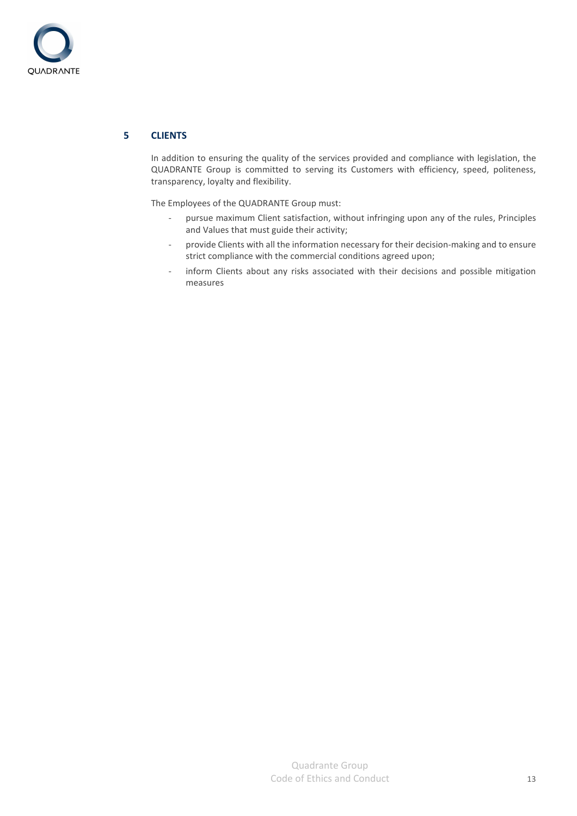

# **5 CLIENTS**

In addition to ensuring the quality of the services provided and compliance with legislation, the QUADRANTE Group is committed to serving its Customers with efficiency, speed, politeness, transparency, loyalty and flexibility.

The Employees of the QUADRANTE Group must:

- pursue maximum Client satisfaction, without infringing upon any of the rules, Principles and Values that must guide their activity;
- provide Clients with all the information necessary for their decision-making and to ensure strict compliance with the commercial conditions agreed upon;
- inform Clients about any risks associated with their decisions and possible mitigation measures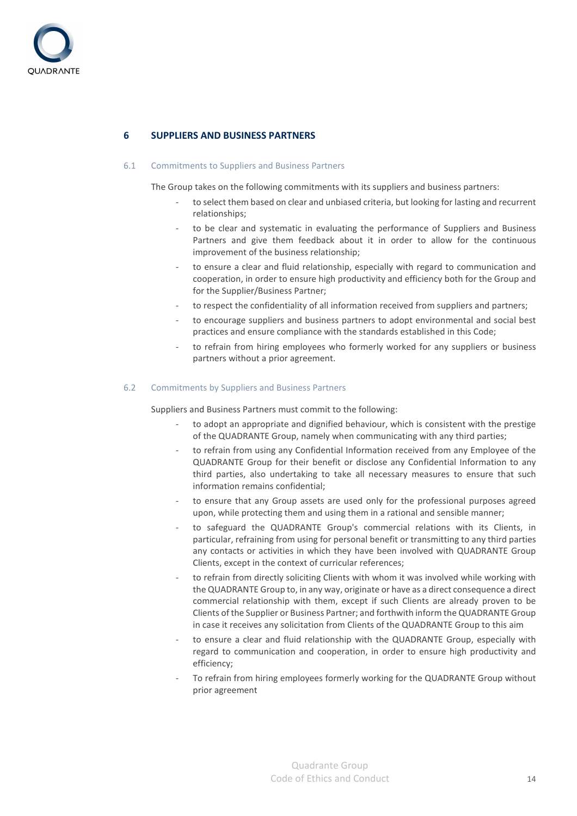

# **6 SUPPLIERS AND BUSINESS PARTNERS**

#### 6.1 Commitments to Suppliers and Business Partners

The Group takes on the following commitments with its suppliers and business partners:

- to select them based on clear and unbiased criteria, but looking for lasting and recurrent relationships;
- to be clear and systematic in evaluating the performance of Suppliers and Business Partners and give them feedback about it in order to allow for the continuous improvement of the business relationship;
- to ensure a clear and fluid relationship, especially with regard to communication and cooperation, in order to ensure high productivity and efficiency both for the Group and for the Supplier/Business Partner;
- to respect the confidentiality of all information received from suppliers and partners;
- to encourage suppliers and business partners to adopt environmental and social best practices and ensure compliance with the standards established in this Code;
- to refrain from hiring employees who formerly worked for any suppliers or business partners without a prior agreement.

#### 6.2 Commitments by Suppliers and Business Partners

Suppliers and Business Partners must commit to the following:

- to adopt an appropriate and dignified behaviour, which is consistent with the prestige of the QUADRANTE Group, namely when communicating with any third parties;
- to refrain from using any Confidential Information received from any Employee of the QUADRANTE Group for their benefit or disclose any Confidential Information to any third parties, also undertaking to take all necessary measures to ensure that such information remains confidential;
- to ensure that any Group assets are used only for the professional purposes agreed upon, while protecting them and using them in a rational and sensible manner;
- to safeguard the QUADRANTE Group's commercial relations with its Clients, in particular, refraining from using for personal benefit or transmitting to any third parties any contacts or activities in which they have been involved with QUADRANTE Group Clients, except in the context of curricular references;
- to refrain from directly soliciting Clients with whom it was involved while working with the QUADRANTE Group to, in any way, originate or have as a direct consequence a direct commercial relationship with them, except if such Clients are already proven to be Clients of the Supplier or Business Partner; and forthwith inform the QUADRANTE Group in case it receives any solicitation from Clients of the QUADRANTE Group to this aim
- to ensure a clear and fluid relationship with the QUADRANTE Group, especially with regard to communication and cooperation, in order to ensure high productivity and efficiency;
- To refrain from hiring employees formerly working for the QUADRANTE Group without prior agreement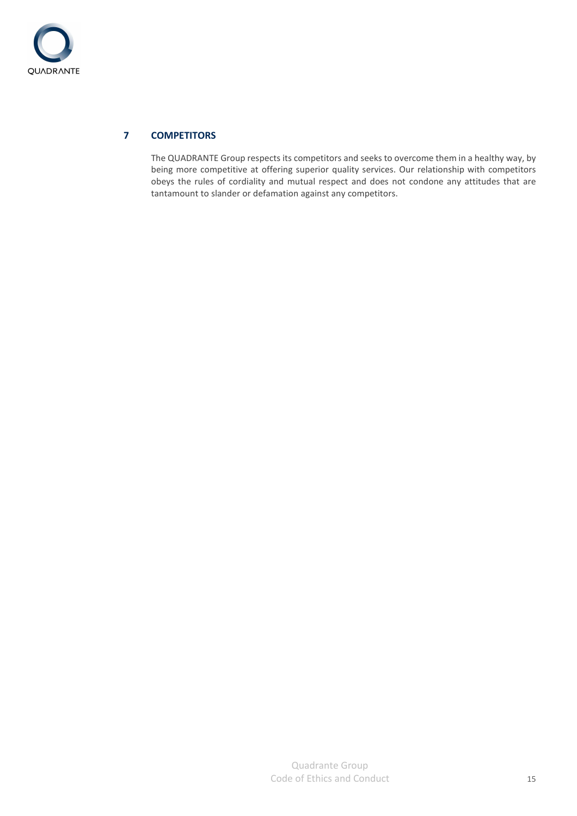

# **7 COMPETITORS**

The QUADRANTE Group respects its competitors and seeks to overcome them in a healthy way, by being more competitive at offering superior quality services. Our relationship with competitors obeys the rules of cordiality and mutual respect and does not condone any attitudes that are tantamount to slander or defamation against any competitors.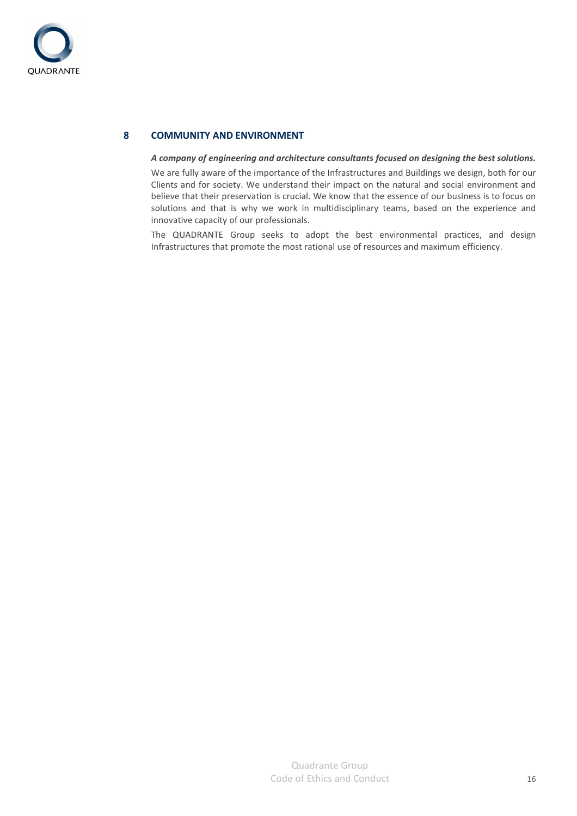

# **8 COMMUNITY AND ENVIRONMENT**

#### *A company of engineering and architecture consultants focused on designing the best solutions.*

We are fully aware of the importance of the Infrastructures and Buildings we design, both for our Clients and for society. We understand their impact on the natural and social environment and believe that their preservation is crucial. We know that the essence of our business is to focus on solutions and that is why we work in multidisciplinary teams, based on the experience and innovative capacity of our professionals.

The QUADRANTE Group seeks to adopt the best environmental practices, and design Infrastructures that promote the most rational use of resources and maximum efficiency.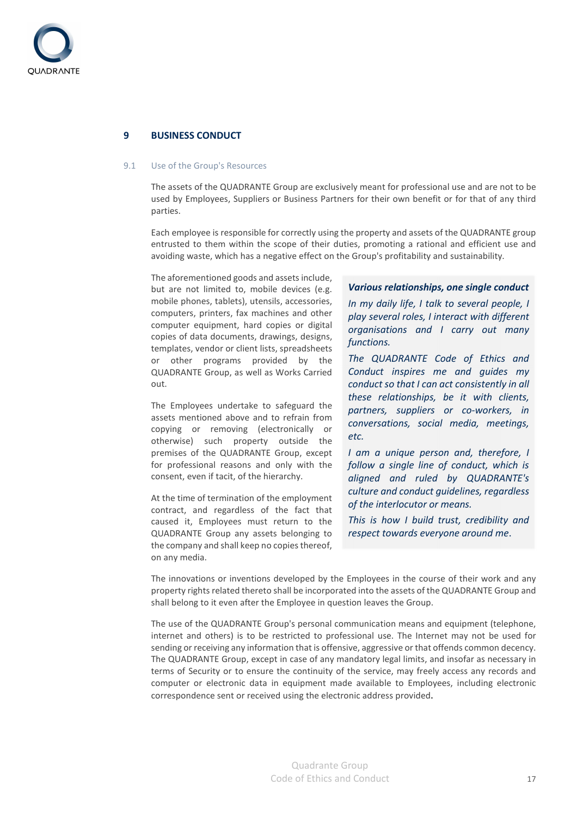

# **9 BUSINESS CONDUCT**

#### 9.1 Use of the Group's Resources

The assets of the QUADRANTE Group are exclusively meant for professional use and are not to be used by Employees, Suppliers or Business Partners for their own benefit or for that of any third parties.

Each employee is responsible for correctly using the property and assets of the QUADRANTE group entrusted to them within the scope of their duties, promoting a rational and efficient use and avoiding waste, which has a negative effect on the Group's profitability and sustainability.

The aforementioned goods and assets include, but are not limited to, mobile devices (e.g. mobile phones, tablets), utensils, accessories, computers, printers, fax machines and other computer equipment, hard copies or digital copies of data documents, drawings, designs, templates, vendor or client lists, spreadsheets or other programs provided by the QUADRANTE Group, as well as Works Carried out.

The Employees undertake to safeguard the assets mentioned above and to refrain from copying or removing (electronically or otherwise) such property outside the premises of the QUADRANTE Group, except for professional reasons and only with the consent, even if tacit, of the hierarchy.

At the time of termination of the employment contract, and regardless of the fact that caused it, Employees must return to the QUADRANTE Group any assets belonging to the company and shall keep no copies thereof, on any media.

#### *Various relationships, one single conduct*

*In my daily life, I talk to several people, I play several roles, I interact with different organisations and I carry out many functions.* 

*The QUADRANTE Code of Ethics and Conduct inspires me and guides my conduct so that I can act consistently in all these relationships, be it with clients, partners, suppliers or co-workers, in conversations, social media, meetings, etc.* 

*I am a unique person and, therefore, I follow a single line of conduct, which is aligned and ruled by QUADRANTE's culture and conduct guidelines, regardless of the interlocutor or means.* 

*This is how I build trust, credibility and respect towards everyone around me*.

The innovations or inventions developed by the Employees in the course of their work and any property rights related thereto shall be incorporated into the assets of the QUADRANTE Group and shall belong to it even after the Employee in question leaves the Group.

The use of the QUADRANTE Group's personal communication means and equipment (telephone, internet and others) is to be restricted to professional use. The Internet may not be used for sending or receiving any information that is offensive, aggressive or that offends common decency. The QUADRANTE Group, except in case of any mandatory legal limits, and insofar as necessary in terms of Security or to ensure the continuity of the service, may freely access any records and computer or electronic data in equipment made available to Employees, including electronic correspondence sent or received using the electronic address provided.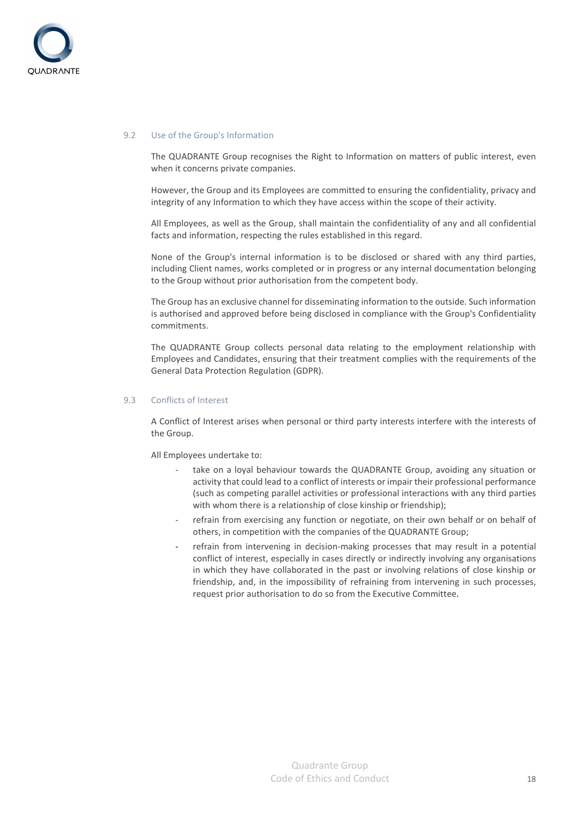

#### 9.2 Use of the Group's Information

The QUADRANTE Group recognises the Right to Information on matters of public interest, even when it concerns private companies.

However, the Group and its Employees are committed to ensuring the confidentiality, privacy and integrity of any Information to which they have access within the scope of their activity.

All Employees, as well as the Group, shall maintain the confidentiality of any and all confidential facts and information, respecting the rules established in this regard.

None of the Group's internal information is to be disclosed or shared with any third parties, including Client names, works completed or in progress or any internal documentation belonging to the Group without prior authorisation from the competent body.

The Group has an exclusive channel for disseminating information to the outside. Such information is authorised and approved before being disclosed in compliance with the Group's Confidentiality commitments.

The QUADRANTE Group collects personal data relating to the employment relationship with Employees and Candidates, ensuring that their treatment complies with the requirements of the General Data Protection Regulation (GDPR).

#### 9.3 Conflicts of Interest

A Conflict of Interest arises when personal or third party interests interfere with the interests of the Group.

All Employees undertake to:

- take on a loyal behaviour towards the QUADRANTE Group, avoiding any situation or activity that could lead to a conflict of interests or impair their professional performance (such as competing parallel activities or professional interactions with any third parties with whom there is a relationship of close kinship or friendship);
- refrain from exercising any function or negotiate, on their own behalf or on behalf of others, in competition with the companies of the QUADRANTE Group;
- refrain from intervening in decision-making processes that may result in a potential conflict of interest, especially in cases directly or indirectly involving any organisations in which they have collaborated in the past or involving relations of close kinship or friendship, and, in the impossibility of refraining from intervening in such processes, request prior authorisation to do so from the Executive Committee.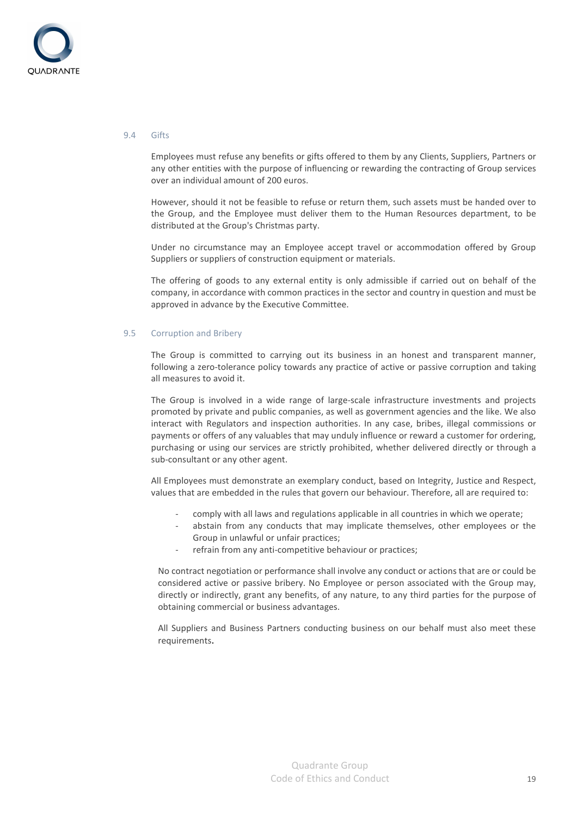

#### 9.4 Gifts

Employees must refuse any benefits or gifts offered to them by any Clients, Suppliers, Partners or any other entities with the purpose of influencing or rewarding the contracting of Group services over an individual amount of 200 euros.

However, should it not be feasible to refuse or return them, such assets must be handed over to the Group, and the Employee must deliver them to the Human Resources department, to be distributed at the Group's Christmas party.

Under no circumstance may an Employee accept travel or accommodation offered by Group Suppliers or suppliers of construction equipment or materials.

The offering of goods to any external entity is only admissible if carried out on behalf of the company, in accordance with common practices in the sector and country in question and must be approved in advance by the Executive Committee.

#### 9.5 Corruption and Bribery

The Group is committed to carrying out its business in an honest and transparent manner, following a zero-tolerance policy towards any practice of active or passive corruption and taking all measures to avoid it.

The Group is involved in a wide range of large-scale infrastructure investments and projects promoted by private and public companies, as well as government agencies and the like. We also interact with Regulators and inspection authorities. In any case, bribes, illegal commissions or payments or offers of any valuables that may unduly influence or reward a customer for ordering, purchasing or using our services are strictly prohibited, whether delivered directly or through a sub-consultant or any other agent.

All Employees must demonstrate an exemplary conduct, based on Integrity, Justice and Respect, values that are embedded in the rules that govern our behaviour. Therefore, all are required to:

- comply with all laws and regulations applicable in all countries in which we operate;
- abstain from any conducts that may implicate themselves, other employees or the Group in unlawful or unfair practices;
- refrain from any anti-competitive behaviour or practices;

No contract negotiation or performance shall involve any conduct or actions that are or could be considered active or passive bribery. No Employee or person associated with the Group may, directly or indirectly, grant any benefits, of any nature, to any third parties for the purpose of obtaining commercial or business advantages.

All Suppliers and Business Partners conducting business on our behalf must also meet these requirements.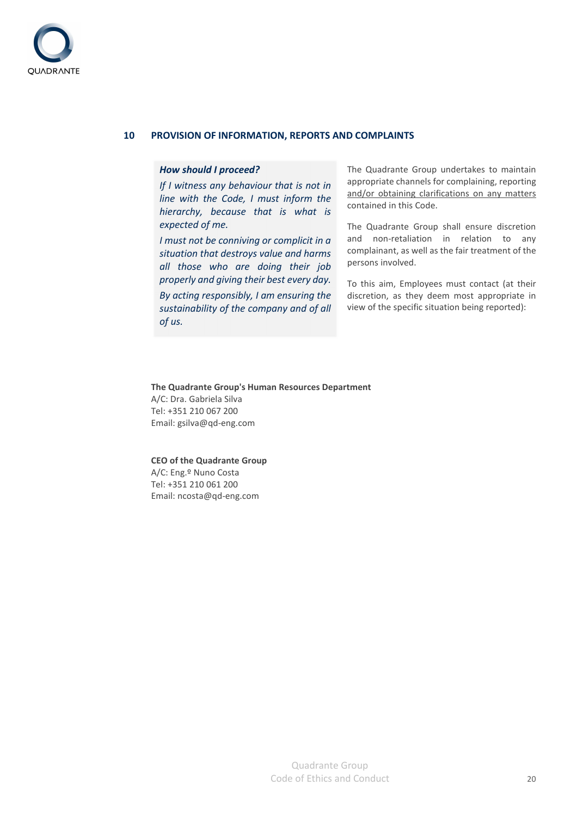

# **10 PROVISION OF INFORMATION, REPORTS AND COMPLAINTS**

#### *How should I proceed?*

*If I witness any behaviour that is not in line with the Code, I must inform the hierarchy, because that is what is expected of me.* 

*I must not be conniving or complicit in a situation that destroys value and harms all those who are doing their job properly and giving their best every day. By acting responsibly, I am ensuring the sustainability of the company and of all of us.* 

The Quadrante Group undertakes to maintain appropriate channels for complaining, reporting and/or obtaining clarifications on any matters contained in this Code.

The Quadrante Group shall ensure discretion and non-retaliation in relation to any complainant, as well as the fair treatment of the persons involved.

To this aim, Employees must contact (at their discretion, as they deem most appropriate in view of the specific situation being reported):

#### **The Quadrante Group's Human Resources Department**

A/C: Dra. Gabriela Silva Tel: +351 210 067 200 Email: gsilva@qd-eng.com

#### **CEO of the Quadrante Group**

A/C: Eng.º Nuno Costa Tel: +351 210 061 200 Email: ncosta@qd-eng.com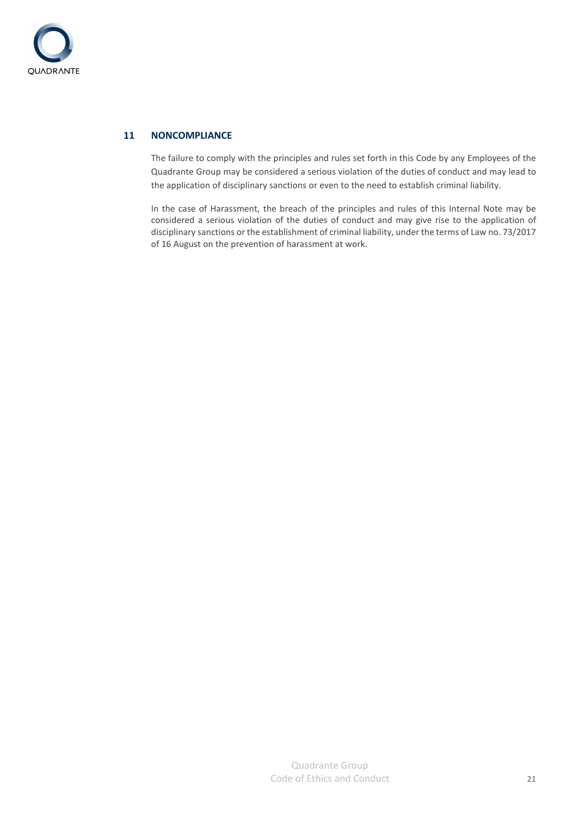

# **11 NONCOMPLIANCE**

The failure to comply with the principles and rules set forth in this Code by any Employees of the Quadrante Group may be considered a serious violation of the duties of conduct and may lead to the application of disciplinary sanctions or even to the need to establish criminal liability.

In the case of Harassment, the breach of the principles and rules of this Internal Note may be considered a serious violation of the duties of conduct and may give rise to the application of disciplinary sanctions or the establishment of criminal liability, under the terms of Law no. 73/2017 of 16 August on the prevention of harassment at work.